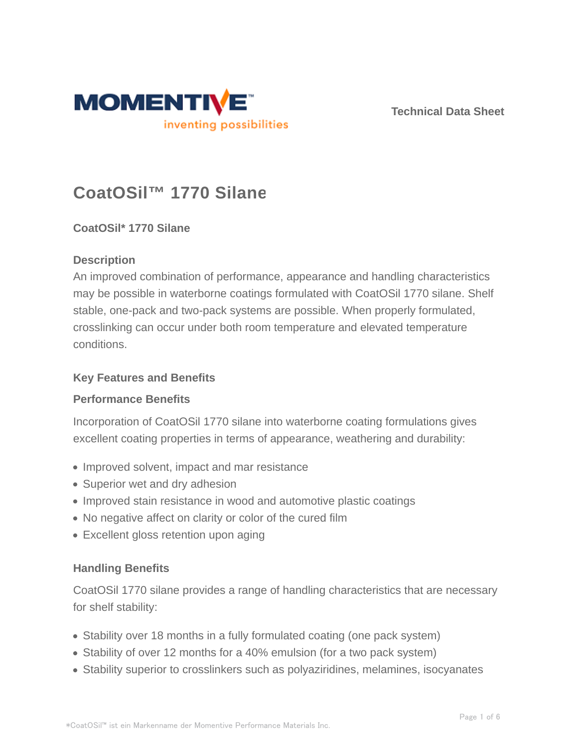

**Technical Data Sheet**

# **CoatOSil™ 1770 Silane**

## **CoatOSil\* 1770 Silane**

### **Description**

An improved combination of performance, appearance and handling characteristics may be possible in waterborne coatings formulated with CoatOSil 1770 silane. Shelf stable, one-pack and two-pack systems are possible. When properly formulated, crosslinking can occur under both room temperature and elevated temperature conditions.

#### **Key Features and Benefits**

#### **Performance Benefits**

Incorporation of CoatOSil 1770 silane into waterborne coating formulations gives excellent coating properties in terms of appearance, weathering and durability:

- Improved solvent, impact and mar resistance
- Superior wet and dry adhesion
- Improved stain resistance in wood and automotive plastic coatings
- No negative affect on clarity or color of the cured film
- Excellent gloss retention upon aging

#### **Handling Benefits**

CoatOSil 1770 silane provides a range of handling characteristics that are necessary for shelf stability:

- Stability over 18 months in a fully formulated coating (one pack system)
- Stability of over 12 months for a 40% emulsion (for a two pack system)
- Stability superior to crosslinkers such as polyaziridines, melamines, isocyanates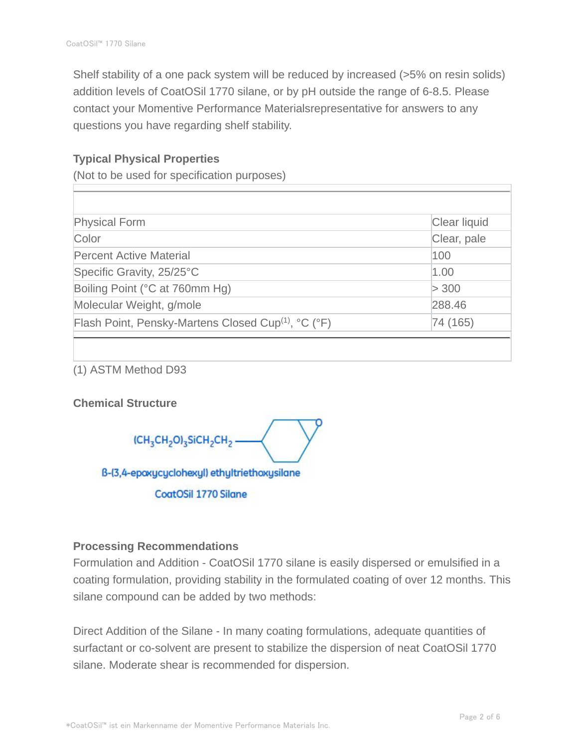Shelf stability of a one pack system will be reduced by increased (>5% on resin solids) addition levels of CoatOSil 1770 silane, or by pH outside the range of 6-8.5. Please contact your Momentive Performance Materialsrepresentative for answers to any questions you have regarding shelf stability.

## **Typical Physical Properties**

(Not to be used for specification purposes)

| <b>Physical Form</b>                                            | Clear liquid |
|-----------------------------------------------------------------|--------------|
| Color                                                           | Clear, pale  |
| <b>Percent Active Material</b>                                  | 100          |
| Specific Gravity, 25/25°C                                       | 1.00         |
| Boiling Point (°C at 760mm Hg)                                  | > 300        |
| Molecular Weight, g/mole                                        | 288.46       |
| Flash Point, Pensky-Martens Closed Cup <sup>(1)</sup> , °C (°F) | 74 (165)     |
|                                                                 |              |

(1) ASTM Method D93

#### **Chemical Structure**

(CH<sub>3</sub>CH<sub>2</sub>O)<sub>3</sub>SiCH<sub>2</sub>CH<sub>2</sub>

B-(3,4-epoxycyclohexyl) ethyltriethoxysilane

**CoatOSil 1770 Silane** 

#### **Processing Recommendations**

Formulation and Addition - CoatOSil 1770 silane is easily dispersed or emulsified in a coating formulation, providing stability in the formulated coating of over 12 months. This silane compound can be added by two methods:

Direct Addition of the Silane - In many coating formulations, adequate quantities of surfactant or co-solvent are present to stabilize the dispersion of neat CoatOSil 1770 silane. Moderate shear is recommended for dispersion.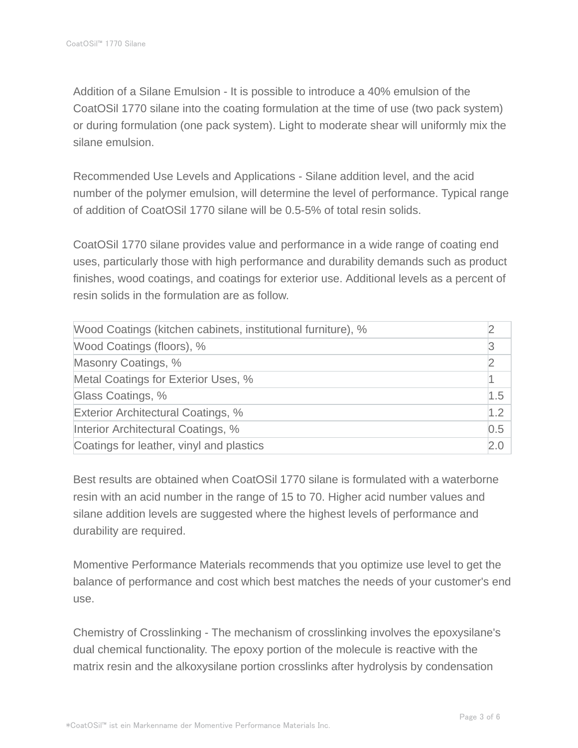Addition of a Silane Emulsion - It is possible to introduce a 40% emulsion of the CoatOSil 1770 silane into the coating formulation at the time of use (two pack system) or during formulation (one pack system). Light to moderate shear will uniformly mix the silane emulsion.

Recommended Use Levels and Applications - Silane addition level, and the acid number of the polymer emulsion, will determine the level of performance. Typical range of addition of CoatOSil 1770 silane will be 0.5-5% of total resin solids.

CoatOSil 1770 silane provides value and performance in a wide range of coating end uses, particularly those with high performance and durability demands such as product finishes, wood coatings, and coatings for exterior use. Additional levels as a percent of resin solids in the formulation are as follow.

| Wood Coatings (kitchen cabinets, institutional furniture), % |     |
|--------------------------------------------------------------|-----|
| Wood Coatings (floors), %                                    |     |
| Masonry Coatings, %                                          |     |
| Metal Coatings for Exterior Uses, %                          |     |
| Glass Coatings, %                                            | 1.5 |
| Exterior Architectural Coatings, %                           | 1.2 |
| Interior Architectural Coatings, %                           | 0.5 |
| Coatings for leather, vinyl and plastics                     | 2.0 |

Best results are obtained when CoatOSil 1770 silane is formulated with a waterborne resin with an acid number in the range of 15 to 70. Higher acid number values and silane addition levels are suggested where the highest levels of performance and durability are required.

Momentive Performance Materials recommends that you optimize use level to get the balance of performance and cost which best matches the needs of your customer's end use.

Chemistry of Crosslinking - The mechanism of crosslinking involves the epoxysilane's dual chemical functionality. The epoxy portion of the molecule is reactive with the matrix resin and the alkoxysilane portion crosslinks after hydrolysis by condensation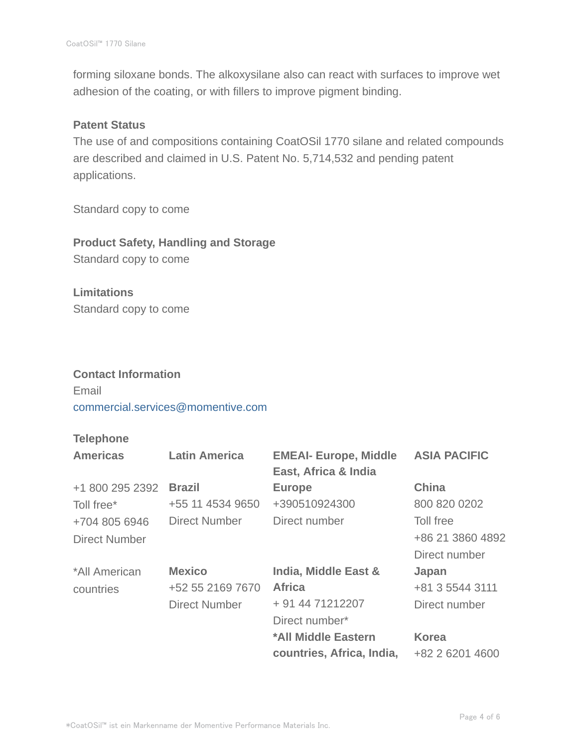forming siloxane bonds. The alkoxysilane also can react with surfaces to improve wet adhesion of the coating, or with fillers to improve pigment binding.

#### **Patent Status**

The use of and compositions containing CoatOSil 1770 silane and related compounds are described and claimed in U.S. Patent No. 5,714,532 and pending patent applications.

Standard copy to come

**Product Safety, Handling and Storage** Standard copy to come

**Limitations** Standard copy to come

#### **Contact Information**

Email commercial.services@momentive.com

#### **Telephone**

| <b>Americas</b> | <b>Latin America</b> | <b>EMEAI- Europe, Middle</b><br>East, Africa & India | <b>ASIA PACIFIC</b> |
|-----------------|----------------------|------------------------------------------------------|---------------------|
| +1 800 295 2392 | <b>Brazil</b>        | <b>Europe</b>                                        | China               |
| Toll free*      | +55 11 4534 9650     | +390510924300                                        | 800 820 0202        |
| +704 805 6946   | Direct Number        | Direct number                                        | Toll free           |
| Direct Number   |                      |                                                      | +86 21 3860 4892    |
|                 |                      |                                                      | Direct number       |
| *All American   | <b>Mexico</b>        | India, Middle East &                                 | Japan               |
| countries       | +52 55 2169 7670     | <b>Africa</b>                                        | +81 3 5544 3111     |
|                 | <b>Direct Number</b> | + 91 44 71212207                                     | Direct number       |
|                 |                      | Direct number*                                       |                     |
|                 |                      | *All Middle Eastern                                  | <b>Korea</b>        |
|                 |                      | countries, Africa, India,                            | +82 2 6201 4600     |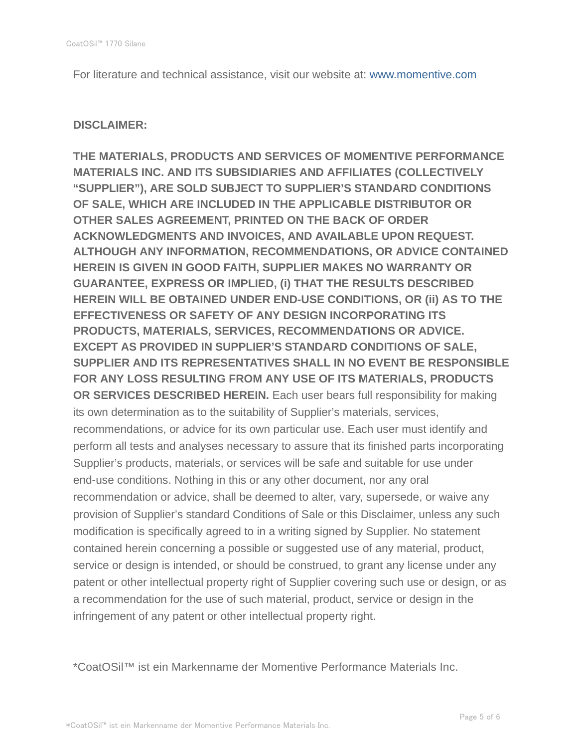For literature and technical assistance, visit our website at: www.momentive.com

#### **DISCLAIMER:**

**THE MATERIALS, PRODUCTS AND SERVICES OF MOMENTIVE PERFORMANCE MATERIALS INC. AND ITS SUBSIDIARIES AND AFFILIATES (COLLECTIVELY "SUPPLIER"), ARE SOLD SUBJECT TO SUPPLIER'S STANDARD CONDITIONS OF SALE, WHICH ARE INCLUDED IN THE APPLICABLE DISTRIBUTOR OR OTHER SALES AGREEMENT, PRINTED ON THE BACK OF ORDER ACKNOWLEDGMENTS AND INVOICES, AND AVAILABLE UPON REQUEST. ALTHOUGH ANY INFORMATION, RECOMMENDATIONS, OR ADVICE CONTAINED HEREIN IS GIVEN IN GOOD FAITH, SUPPLIER MAKES NO WARRANTY OR GUARANTEE, EXPRESS OR IMPLIED, (i) THAT THE RESULTS DESCRIBED HEREIN WILL BE OBTAINED UNDER END-USE CONDITIONS, OR (ii) AS TO THE EFFECTIVENESS OR SAFETY OF ANY DESIGN INCORPORATING ITS PRODUCTS, MATERIALS, SERVICES, RECOMMENDATIONS OR ADVICE. EXCEPT AS PROVIDED IN SUPPLIER'S STANDARD CONDITIONS OF SALE, SUPPLIER AND ITS REPRESENTATIVES SHALL IN NO EVENT BE RESPONSIBLE FOR ANY LOSS RESULTING FROM ANY USE OF ITS MATERIALS, PRODUCTS OR SERVICES DESCRIBED HEREIN.** Each user bears full responsibility for making its own determination as to the suitability of Supplier's materials, services, recommendations, or advice for its own particular use. Each user must identify and perform all tests and analyses necessary to assure that its finished parts incorporating Supplier's products, materials, or services will be safe and suitable for use under end-use conditions. Nothing in this or any other document, nor any oral recommendation or advice, shall be deemed to alter, vary, supersede, or waive any provision of Supplier's standard Conditions of Sale or this Disclaimer, unless any such modification is specifically agreed to in a writing signed by Supplier. No statement contained herein concerning a possible or suggested use of any material, product, service or design is intended, or should be construed, to grant any license under any patent or other intellectual property right of Supplier covering such use or design, or as a recommendation for the use of such material, product, service or design in the infringement of any patent or other intellectual property right.

\*CoatOSil™ ist ein Markenname der Momentive Performance Materials Inc.